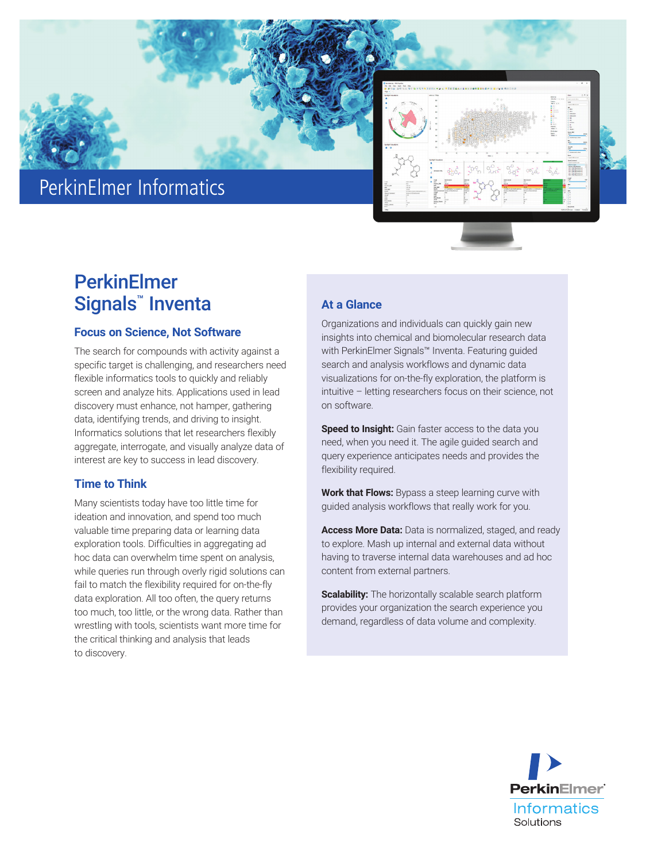

# PerkinElmer Informatics



## **PerkinElmer Signals™ Inventa** At a Glance

### **Focus on Science, Not Software**

The search for compounds with activity against a specific target is challenging, and researchers need flexible informatics tools to quickly and reliably screen and analyze hits. Applications used in lead discovery must enhance, not hamper, gathering data, identifying trends, and driving to insight. Informatics solutions that let researchers flexibly aggregate, interrogate, and visually analyze data of interest are key to success in lead discovery.

## **Time to Think**

Many scientists today have too little time for ideation and innovation, and spend too much valuable time preparing data or learning data exploration tools. Difficulties in aggregating ad hoc data can overwhelm time spent on analysis, while queries run through overly rigid solutions can fail to match the flexibility required for on-the-fly data exploration. All too often, the query returns too much, too little, or the wrong data. Rather than wrestling with tools, scientists want more time for the critical thinking and analysis that leads to discovery.

Organizations and individuals can quickly gain new insights into chemical and biomolecular research data with PerkinElmer Signals™ Inventa. Featuring guided search and analysis workflows and dynamic data visualizations for on-the-fly exploration, the platform is intuitive – letting researchers focus on their science, not on software.

**Speed to Insight:** Gain faster access to the data you need, when you need it. The agile guided search and query experience anticipates needs and provides the flexibility required.

**Work that Flows:** Bypass a steep learning curve with guided analysis workflows that really work for you.

**Access More Data:** Data is normalized, staged, and ready to explore. Mash up internal and external data without having to traverse internal data warehouses and ad hoc content from external partners.

**Scalability:** The horizontally scalable search platform provides your organization the search experience you demand, regardless of data volume and complexity.

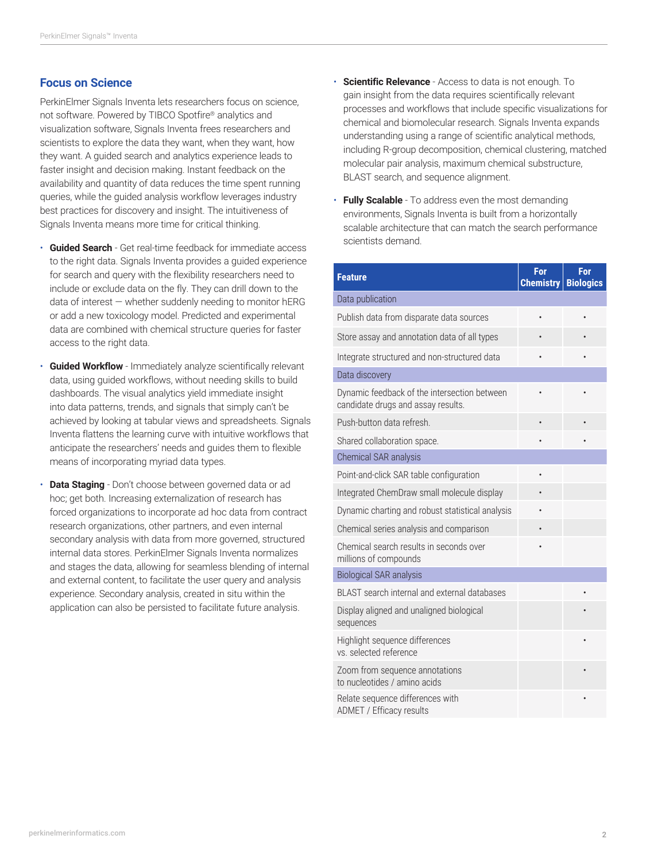### **Focus on Science**

PerkinElmer Signals Inventa lets researchers focus on science, not software. Powered by TIBCO Spotfire® analytics and visualization software, Signals Inventa frees researchers and scientists to explore the data they want, when they want, how they want. A guided search and analytics experience leads to faster insight and decision making. Instant feedback on the availability and quantity of data reduces the time spent running queries, while the guided analysis workflow leverages industry best practices for discovery and insight. The intuitiveness of Signals Inventa means more time for critical thinking.

- **Guided Search**  Get real-time feedback for immediate access to the right data. Signals Inventa provides a guided experience for search and query with the flexibility researchers need to include or exclude data on the fly. They can drill down to the data of interest — whether suddenly needing to monitor hERG or add a new toxicology model. Predicted and experimental data are combined with chemical structure queries for faster access to the right data.
- **Guided Workflow** Immediately analyze scientifically relevant data, using guided workflows, without needing skills to build dashboards. The visual analytics yield immediate insight into data patterns, trends, and signals that simply can't be achieved by looking at tabular views and spreadsheets. Signals Inventa flattens the learning curve with intuitive workflows that anticipate the researchers' needs and guides them to flexible means of incorporating myriad data types.
- **Data Staging** Don't choose between governed data or ad hoc; get both. Increasing externalization of research has forced organizations to incorporate ad hoc data from contract research organizations, other partners, and even internal secondary analysis with data from more governed, structured internal data stores. PerkinElmer Signals Inventa normalizes and stages the data, allowing for seamless blending of internal and external content, to facilitate the user query and analysis experience. Secondary analysis, created in situ within the application can also be persisted to facilitate future analysis.
- **Scientific Relevance** Access to data is not enough. To gain insight from the data requires scientifically relevant processes and workflows that include specific visualizations for chemical and biomolecular research. Signals Inventa expands understanding using a range of scientific analytical methods, including R-group decomposition, chemical clustering, matched molecular pair analysis, maximum chemical substructure, BLAST search, and sequence alignment.
- **Fully Scalable** To address even the most demanding environments, Signals Inventa is built from a horizontally scalable architecture that can match the search performance scientists demand.

| <b>Feature</b>                                                                     | For<br><b>Chemistry</b> | For<br><b>Biologics</b> |
|------------------------------------------------------------------------------------|-------------------------|-------------------------|
| Data publication                                                                   |                         |                         |
| Publish data from disparate data sources                                           | $\bullet$               |                         |
| Store assay and annotation data of all types                                       |                         |                         |
| Integrate structured and non-structured data                                       |                         |                         |
| Data discovery                                                                     |                         |                         |
| Dynamic feedback of the intersection between<br>candidate drugs and assay results. |                         |                         |
| Push-button data refresh.                                                          |                         |                         |
| Shared collaboration space.                                                        |                         |                         |
| Chemical SAR analysis                                                              |                         |                         |
| Point-and-click SAR table configuration                                            |                         |                         |
| Integrated ChemDraw small molecule display                                         |                         |                         |
| Dynamic charting and robust statistical analysis                                   |                         |                         |
| Chemical series analysis and comparison                                            |                         |                         |
| Chemical search results in seconds over<br>millions of compounds                   |                         |                         |
| <b>Biological SAR analysis</b>                                                     |                         |                         |
| BLAST search internal and external databases                                       |                         |                         |
| Display aligned and unaligned biological<br>sequences                              |                         |                         |
| Highlight sequence differences<br>vs. selected reference                           |                         |                         |
| Zoom from sequence annotations<br>to nucleotides / amino acids                     |                         |                         |
| Relate sequence differences with<br>ADMET / Efficacy results                       |                         |                         |